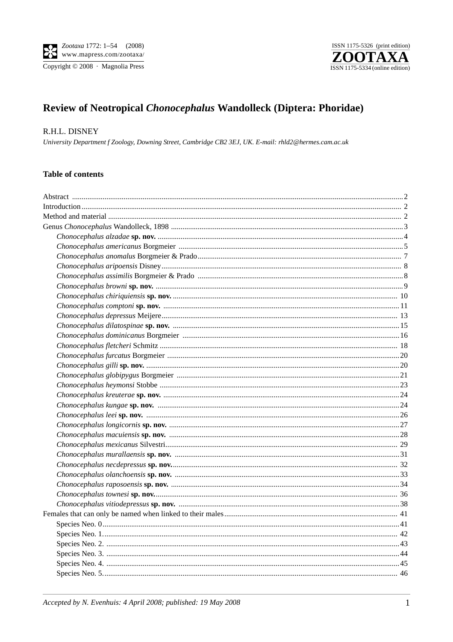

# Review of Neotropical Chonocephalus Wandolleck (Diptera: Phoridae)

## R.H.L. DISNEY

University Department f Zoology, Downing Street, Cambridge CB2 3EJ, UK. E-mail: rhld2@hermes.cam.ac.uk

## **Table of contents**